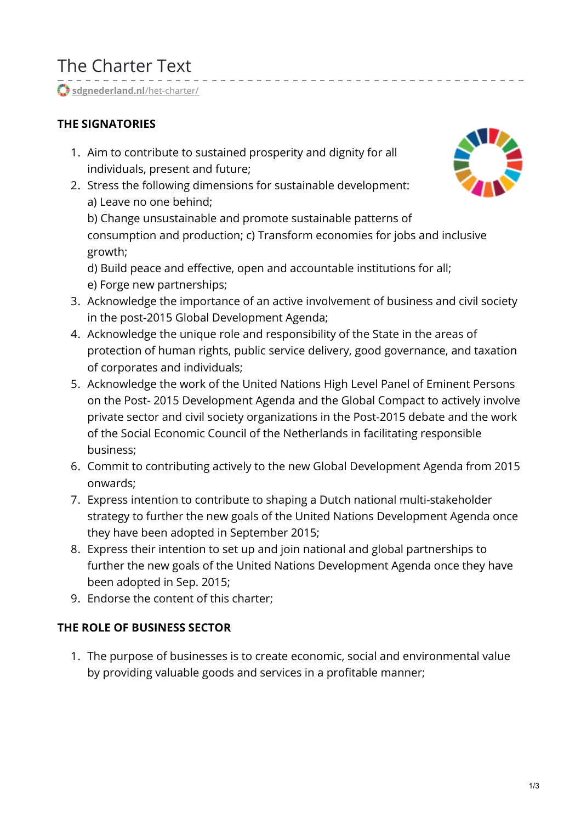# The Charter Text

[sdgnederland.nl](https://www.sdgnederland.nl/het-charter/)/het-charter/

### **THE SIGNATORIES**

- 1. Aim to contribute to sustained prosperity and dignity for all individuals, present and future;
- 2. Stress the following dimensions for sustainable development: a) Leave no one behind;

b) Change unsustainable and promote sustainable patterns of consumption and production; c) Transform economies for jobs and inclusive growth;

<u>--------------------</u>

d) Build peace and effective, open and accountable institutions for all; e) Forge new partnerships;

- 3. Acknowledge the importance of an active involvement of business and civil society in the post-2015 Global Development Agenda;
- 4. Acknowledge the unique role and responsibility of the State in the areas of protection of human rights, public service delivery, good governance, and taxation of corporates and individuals;
- 5. Acknowledge the work of the United Nations High Level Panel of Eminent Persons on the Post- 2015 Development Agenda and the Global Compact to actively involve private sector and civil society organizations in the Post-2015 debate and the work of the Social Economic Council of the Netherlands in facilitating responsible business;
- 6. Commit to contributing actively to the new Global Development Agenda from 2015 onwards;
- 7. Express intention to contribute to shaping a Dutch national multi-stakeholder strategy to further the new goals of the United Nations Development Agenda once they have been adopted in September 2015;
- 8. Express their intention to set up and join national and global partnerships to further the new goals of the United Nations Development Agenda once they have been adopted in Sep. 2015;
- 9. Endorse the content of this charter;

#### **THE ROLE OF BUSINESS SECTOR**

1. The purpose of businesses is to create economic, social and environmental value by providing valuable goods and services in a profitable manner;

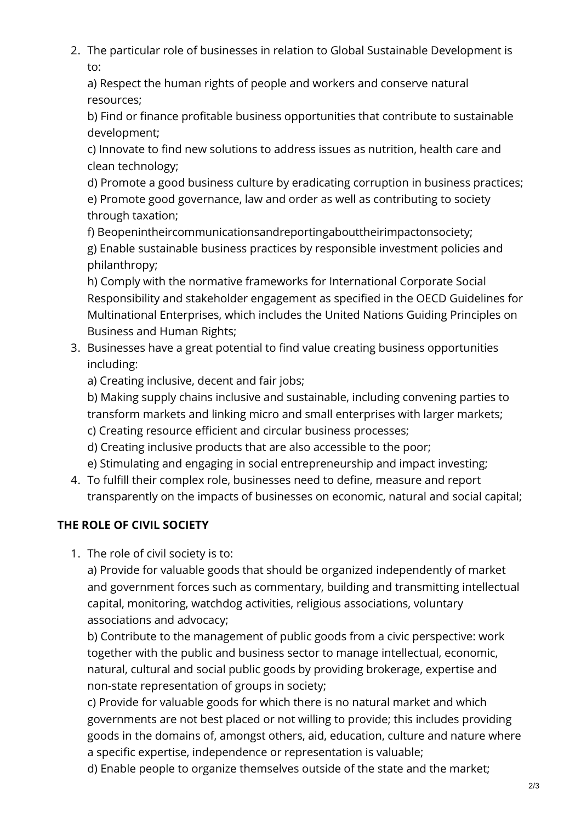2. The particular role of businesses in relation to Global Sustainable Development is to:

a) Respect the human rights of people and workers and conserve natural resources;

b) Find or finance profitable business opportunities that contribute to sustainable development;

c) Innovate to find new solutions to address issues as nutrition, health care and clean technology;

d) Promote a good business culture by eradicating corruption in business practices; e) Promote good governance, law and order as well as contributing to society through taxation;

f) Beopenintheircommunicationsandreportingabouttheirimpactonsociety;

g) Enable sustainable business practices by responsible investment policies and philanthropy;

h) Comply with the normative frameworks for International Corporate Social Responsibility and stakeholder engagement as specified in the OECD Guidelines for Multinational Enterprises, which includes the United Nations Guiding Principles on Business and Human Rights;

3. Businesses have a great potential to find value creating business opportunities including:

a) Creating inclusive, decent and fair jobs;

b) Making supply chains inclusive and sustainable, including convening parties to transform markets and linking micro and small enterprises with larger markets;

- c) Creating resource efficient and circular business processes;
- d) Creating inclusive products that are also accessible to the poor;

e) Stimulating and engaging in social entrepreneurship and impact investing;

4. To fulfill their complex role, businesses need to define, measure and report transparently on the impacts of businesses on economic, natural and social capital;

# **THE ROLE OF CIVIL SOCIETY**

1. The role of civil society is to:

a) Provide for valuable goods that should be organized independently of market and government forces such as commentary, building and transmitting intellectual capital, monitoring, watchdog activities, religious associations, voluntary associations and advocacy;

b) Contribute to the management of public goods from a civic perspective: work together with the public and business sector to manage intellectual, economic, natural, cultural and social public goods by providing brokerage, expertise and non-state representation of groups in society;

c) Provide for valuable goods for which there is no natural market and which governments are not best placed or not willing to provide; this includes providing goods in the domains of, amongst others, aid, education, culture and nature where a specific expertise, independence or representation is valuable;

d) Enable people to organize themselves outside of the state and the market;